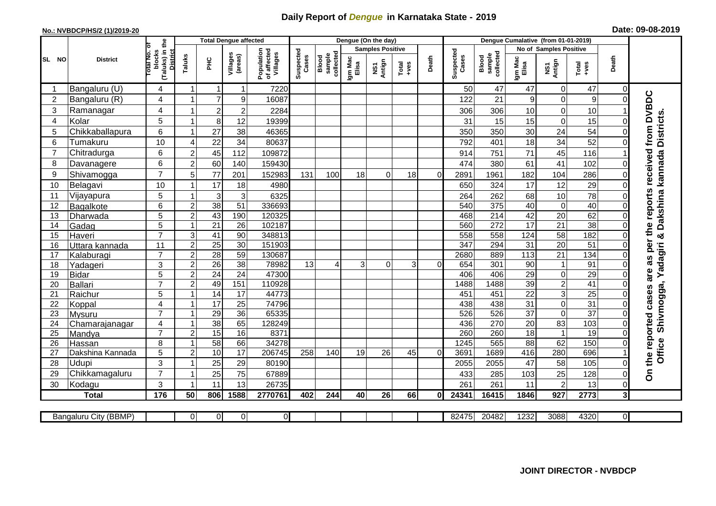## **Daily Report of** *Dengue* **in Karnataka State - 2019**

## **No.: NVBDCP/HS/2 (1)/2019-20 Date: 09-08-2019**

|                |                           |                                                             | <b>Total Dengue affected</b> |                 |                     |                                       |                    |                              |                  | Dengue (On the day)     |               |          |                    |                              |                  |                        |                 |                         |                                        |
|----------------|---------------------------|-------------------------------------------------------------|------------------------------|-----------------|---------------------|---------------------------------------|--------------------|------------------------------|------------------|-------------------------|---------------|----------|--------------------|------------------------------|------------------|------------------------|-----------------|-------------------------|----------------------------------------|
|                | <b>District</b>           |                                                             |                              |                 |                     |                                       |                    |                              |                  | <b>Samples Positive</b> |               |          |                    |                              |                  | No of Samples Positive |                 |                         |                                        |
| SL NO          |                           | (Taluks) in the<br>otal No. of<br>blocks<br><b>District</b> | Taluks                       | ĔБ              | Villages<br>(areas) | Population<br>of affected<br>Villages | Suspected<br>Cases | collectec<br>sample<br>Blood | Igm Mac<br>Elisa | NS1<br>Antign           | Total<br>+ves | Death    | Suspected<br>Cases | sample<br>collected<br>Blood | Igm Mac<br>Elisa | NS1<br>Antign          | Total<br>+ves   | Death                   |                                        |
| -1             | Bangaluru (U)             | 4                                                           | $\overline{1}$               | $\mathbf 1$     | $\mathbf{1}$        | 7220                                  |                    |                              |                  |                         |               |          | 50                 | 47                           | 47               | $\overline{0}$         | 47              | $\overline{0}$          |                                        |
| $\overline{2}$ | Bangaluru (R)             | 4                                                           | $\overline{\mathbf{1}}$      | $\overline{7}$  | 9                   | 16087                                 |                    |                              |                  |                         |               |          | 122                | 21                           | 9                | $\mathbf 0$            | 9               | $\Omega$                | as per the reports received from DVBDC |
| 3              | Ramanagar                 | 4                                                           |                              | $\overline{c}$  | $\overline{c}$      | 2284                                  |                    |                              |                  |                         |               |          | 306                | 306                          | 10               | $\mathbf 0$            | 10              |                         |                                        |
| 4              | Kolar                     | 5                                                           | 1                            | 8 <sup>1</sup>  | 12                  | 19399                                 |                    |                              |                  |                         |               |          | 31                 | 15                           | 15               | $\mathbf 0$            | 15              | $\Omega$                |                                        |
| 5              | Chikkaballapura           | 6                                                           | -1                           | 27              | 38                  | 46365                                 |                    |                              |                  |                         |               |          | 350                | 350                          | 30               | 24                     | 54              | $\Omega$                | Dakshina kannada Districts             |
| 6              | Tumakuru                  | 10                                                          | 4                            | 22              | 34                  | 80637                                 |                    |                              |                  |                         |               |          | 792                | 401                          | 18               | 34                     | 52              | 0                       |                                        |
| $\overline{7}$ | Chitradurga               | 6                                                           | $\overline{c}$               | 45              | 112                 | 109872                                |                    |                              |                  |                         |               |          | 914                | 751                          | 71               | 45                     | 116             |                         |                                        |
| 8              | Davanagere                | 6                                                           | $\overline{a}$               | 60              | 140                 | 159430                                |                    |                              |                  |                         |               |          | 474                | 380                          | 61               | 41                     | 102             | $\Omega$                |                                        |
| 9              | Shivamogga                | $\overline{7}$                                              | 5                            | 77              | 201                 | 152983                                | 131                | 100                          | 18               | $\Omega$                | 18            | $\Omega$ | 2891               | 1961                         | 182              | 104                    | 286             | 0                       |                                        |
| 10             | Belagavi                  | 10                                                          | -1                           | 17              | 18                  | 4980                                  |                    |                              |                  |                         |               |          | 650                | 324                          | 17               | 12                     | 29              | $\Omega$                |                                        |
| 11             | Vijayapura                | 5                                                           |                              | 3               | 3                   | 6325                                  |                    |                              |                  |                         |               |          | 264                | 262                          | 68               | 10                     | 78              |                         |                                        |
| 12             | Bagalkote                 | 6                                                           | $\overline{c}$               | $\overline{38}$ | 51                  | 336693                                |                    |                              |                  |                         |               |          | 540                | 375                          | 40               | $\overline{0}$         | 40              | $\Omega$                |                                        |
| 13             | Dharwada                  | $\overline{5}$                                              | $\overline{c}$               | 43              | 190                 | 120325                                |                    |                              |                  |                         |               |          | 468                | $\overline{214}$             | 42               | 20                     | 62              | $\Omega$                |                                        |
| 14             | Gadag                     | $\overline{5}$                                              | -1                           | 21              | 26                  | 102187                                |                    |                              |                  |                         |               |          | 560                | $\overline{272}$             | $\overline{17}$  | 21                     | 38              | 0                       |                                        |
| 15             | Haveri                    | $\overline{7}$                                              | 3                            | 41              | 90                  | 348813                                |                    |                              |                  |                         |               |          | 558                | 558                          | 124              | 58                     | 182             | 0                       | adagiri &                              |
| 16             | Uttara kannada            | 11                                                          | $\overline{a}$               | $\overline{25}$ | 30                  | 151903                                |                    |                              |                  |                         |               |          | 347                | 294                          | 31               | $\overline{20}$        | $\overline{51}$ | $\Omega$                |                                        |
| 17             | Kalaburagi                | $\overline{7}$                                              | $\overline{c}$               | $\overline{28}$ | 59                  | 130687                                |                    |                              |                  |                         |               |          | 2680               | 889                          | 113              | 21                     | 134             |                         |                                        |
| 18             | Yadageri                  | 3                                                           | $\overline{c}$               | 26              | 38                  | 78982                                 | 13                 | 4                            | 3                | $\Omega$                | 3             | $\Omega$ | 654                | 301                          | 90               | $\mathbf{1}$           | 91              |                         |                                        |
| 19             | <b>Bidar</b>              | $\overline{5}$                                              | $\overline{c}$               | $\overline{24}$ | 24                  | 47300                                 |                    |                              |                  |                         |               |          | 406                | 406                          | 29               | O                      | 29              | $\Omega$                | are                                    |
| 20             | <b>Ballari</b>            | $\overline{7}$                                              | $\overline{2}$               | 49              | 151                 | 110928                                |                    |                              |                  |                         |               |          | 1488               | 1488                         | 39               | $\overline{2}$         | 41              |                         |                                        |
| 21             | Raichur                   | 5                                                           | -1                           | $\overline{14}$ | 17                  | 44773                                 |                    |                              |                  |                         |               |          | 451                | 451                          | $\overline{22}$  | ω                      | $\overline{25}$ | $\Omega$                | Shivmogga, Y                           |
| 22             | Koppal                    | 4                                                           | -1                           | $\overline{17}$ | $\overline{25}$     | 74796                                 |                    |                              |                  |                         |               |          | 438                | 438                          | $\overline{31}$  | O                      | 31              | 0                       |                                        |
| 23             | <b>Mysuru</b>             | $\overline{7}$                                              | -1                           | 29              | 36                  | 65335                                 |                    |                              |                  |                         |               |          | 526                | 526                          | $\overline{37}$  | $\mathbf 0$            | $\overline{37}$ | 0                       |                                        |
| 24             | Chamarajanagar            | 4                                                           | $\overline{\mathbf{1}}$      | $\overline{38}$ | 65                  | 128249                                |                    |                              |                  |                         |               |          | 436                | 270                          | $\overline{20}$  | 83                     | 103             |                         |                                        |
| 25             | Mandya                    | $\overline{7}$                                              | $\overline{2}$               | 15              | 16                  | 8371                                  |                    |                              |                  |                         |               |          | 260                | 260                          | 18               | $\overline{1}$         | $\overline{19}$ | $\Omega$                |                                        |
| 26             | Hassan                    | 8                                                           | -1                           | 58              | 66                  | 34278                                 |                    |                              |                  |                         |               | $\Omega$ | 1245               | 565<br>1689                  | 88               | 62                     | 150             |                         |                                        |
| 27<br>28       | Dakshina Kannada<br>Udupi | 5<br>3                                                      | 2<br>1                       | 10<br>25        | 17<br>29            | 206745<br>80190                       | 258                | 140                          | 19               | 26                      | 45            |          | 3691<br>2055       | 2055                         | 416<br>47        | 280<br>58              | 696<br>105      | 0                       | the reported cases<br><b>Office</b>    |
| 29             | Chikkamagaluru            | $\overline{7}$                                              | -1                           | 25              | 75                  | 67889                                 |                    |                              |                  |                         |               |          | 433                | 285                          | 103              | 25                     | 128             | 0                       |                                        |
| 30             | Kodagu                    | 3                                                           | -1                           | 11              | 13                  | 26735                                 |                    |                              |                  |                         |               |          | 261                | 261                          | 11               | $\overline{c}$         | 13              | $\Omega$                | δ                                      |
|                | <b>Total</b>              | 176                                                         | 50                           | 806             | 1588                | 2770761                               | 402                | 244                          | 40               | 26                      | 66            | 01       | 24341              | 16415                        | 1846             | 927                    | 2773            | $\overline{\mathbf{3}}$ |                                        |
|                |                           |                                                             |                              |                 |                     |                                       |                    |                              |                  |                         |               |          |                    |                              |                  |                        |                 |                         |                                        |
|                | Bangaluru City (BBMP)     |                                                             | $\overline{0}$               | 0               | $\Omega$            | $\overline{0}$                        |                    |                              |                  |                         |               |          | 82475              | 20482                        | 1232             | 3088                   | 4320            | $\overline{0}$          |                                        |